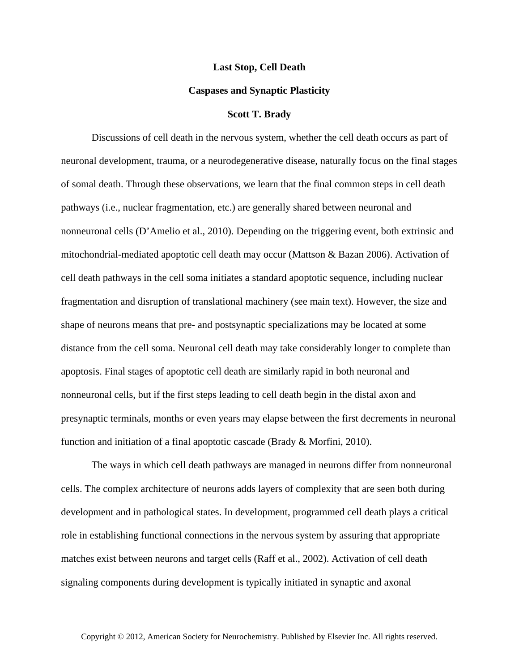## **Last Stop, Cell Death**

## **Caspases and Synaptic Plasticity**

## **Scott T. Brady**

Discussions of cell death in the nervous system, whether the cell death occurs as part of neuronal development, trauma, or a neurodegenerative disease, naturally focus on the final stages of somal death. Through these observations, we learn that the final common steps in cell death pathways (i.e., nuclear fragmentation, etc.) are generally shared between neuronal and nonneuronal cells (D'Amelio et al., 2010). Depending on the triggering event, both extrinsic and mitochondrial-mediated apoptotic cell death may occur (Mattson & Bazan 2006). Activation of cell death pathways in the cell soma initiates a standard apoptotic sequence, including nuclear fragmentation and disruption of translational machinery (see main text). However, the size and shape of neurons means that pre- and postsynaptic specializations may be located at some distance from the cell soma. Neuronal cell death may take considerably longer to complete than apoptosis. Final stages of apoptotic cell death are similarly rapid in both neuronal and nonneuronal cells, but if the first steps leading to cell death begin in the distal axon and presynaptic terminals, months or even years may elapse between the first decrements in neuronal function and initiation of a final apoptotic cascade (Brady & Morfini, 2010).

The ways in which cell death pathways are managed in neurons differ from nonneuronal cells. The complex architecture of neurons adds layers of complexity that are seen both during development and in pathological states. In development, programmed cell death plays a critical role in establishing functional connections in the nervous system by assuring that appropriate matches exist between neurons and target cells (Raff et al., 2002). Activation of cell death signaling components during development is typically initiated in synaptic and axonal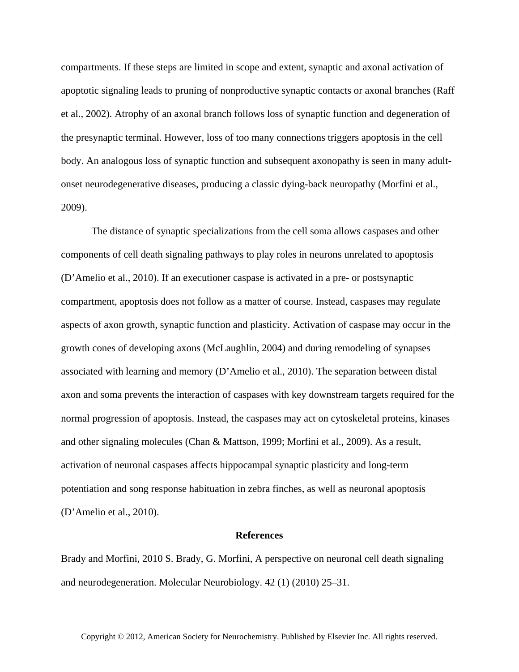compartments. If these steps are limited in scope and extent, synaptic and axonal activation of apoptotic signaling leads to pruning of nonproductive synaptic contacts or axonal branches (Raff et al., 2002). Atrophy of an axonal branch follows loss of synaptic function and degeneration of the presynaptic terminal. However, loss of too many connections triggers apoptosis in the cell body. An analogous loss of synaptic function and subsequent axonopathy is seen in many adultonset neurodegenerative diseases, producing a classic dying-back neuropathy (Morfini et al., 2009).

The distance of synaptic specializations from the cell soma allows caspases and other components of cell death signaling pathways to play roles in neurons unrelated to apoptosis (D'Amelio et al., 2010). If an executioner caspase is activated in a pre- or postsynaptic compartment, apoptosis does not follow as a matter of course. Instead, caspases may regulate aspects of axon growth, synaptic function and plasticity. Activation of caspase may occur in the growth cones of developing axons (McLaughlin, 2004) and during remodeling of synapses associated with learning and memory (D'Amelio et al., 2010). The separation between distal axon and soma prevents the interaction of caspases with key downstream targets required for the normal progression of apoptosis. Instead, the caspases may act on cytoskeletal proteins, kinases and other signaling molecules (Chan & Mattson, 1999; Morfini et al., 2009). As a result, activation of neuronal caspases affects hippocampal synaptic plasticity and long-term potentiation and song response habituation in zebra finches, as well as neuronal apoptosis (D'Amelio et al., 2010).

## **References**

Brady and Morfini, 2010 S. Brady, G. Morfini, A perspective on neuronal cell death signaling and neurodegeneration. Molecular Neurobiology. 42 (1) (2010) 25–31.